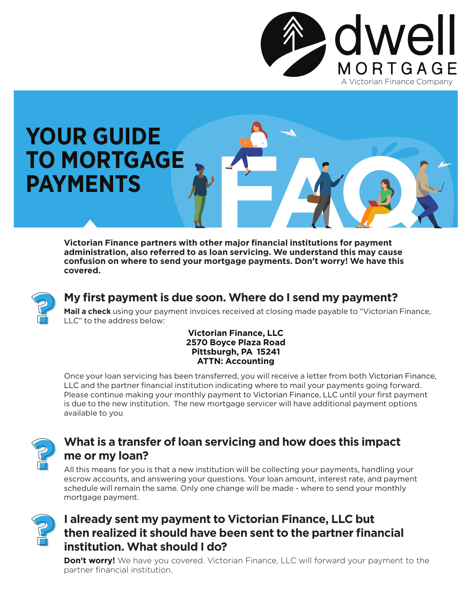

## **YOUR GUIDE TO MORTGAGE PAYMENTS**

**Victorian Finance partners with other major financial institutions for payment administration, also referred to as loan servicing. We understand this may cause confusion on where to send your mortgage payments. Don't worry! We have this covered.** 



### **My first payment is due soon. Where do I send my payment?**

**Mail a check** using your payment invoices received at closing made payable to "Victorian Finance, LLC" to the address below:

#### **Victorian Finance, LLC 2570 Boyce Plaza Road Pittsburgh, PA 15241 ATTN: Accounting**

Once your loan servicing has been transferred, you will receive a letter from both Victorian Finance, LLC and the partner financial institution indicating where to mail your payments going forward. Please continue making your monthly payment to Victorian Finance, LLC until your first payment is due to the new institution. The new mortgage servicer will have additional payment options available to you



#### **What is a transfer of loan servicing and how does this impact me or my loan?**

All this means for you is that a new institution will be collecting your payments, handling your escrow accounts, and answering your questions. Your loan amount, interest rate, and payment schedule will remain the same. Only one change will be made - where to send your monthly mortgage payment.



## **I already sent my payment to Victorian Finance, LLC but then realized it should have been sent to the partner financial institution. What should I do?**

**Don't worry!** We have you covered. Victorian Finance, LLC will forward your payment to the partner financial institution.